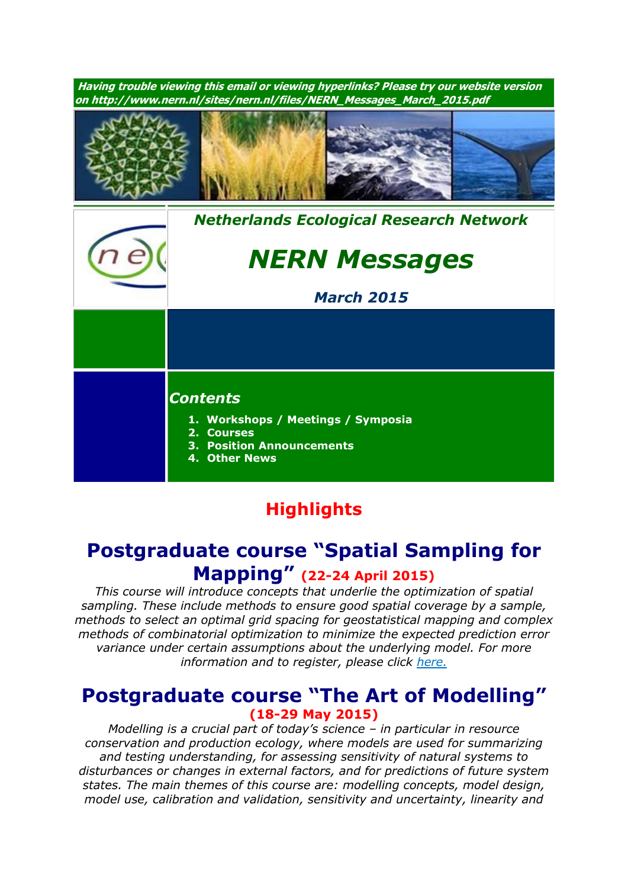

## **Highlights**

# **Postgraduate course "Spatial Sampling for Mapping" (22-24 April 2015)**

*This course will introduce concepts that underlie the optimization of spatial sampling. These include methods to ensure good spatial coverage by a sample, methods to select an optimal grid spacing for geostatistical mapping and complex methods of combinatorial optimization to minimize the expected prediction error variance under certain assumptions about the underlying model. For more information and to register, please click [here.](http://www.pe-rc.nl/database/Courses%20and%20Activities/PE-RC%20postgraduate%20courses/spatial%20sampling%20for%20mapping.htm)*

### **Postgraduate course "The Art of Modelling" (18-29 May 2015)**

*Modelling is a crucial part of today's science – in particular in resource conservation and production ecology, where models are used for summarizing and testing understanding, for assessing sensitivity of natural systems to disturbances or changes in external factors, and for predictions of future system states. The main themes of this course are: modelling concepts, model design, model use, calibration and validation, sensitivity and uncertainty, linearity and*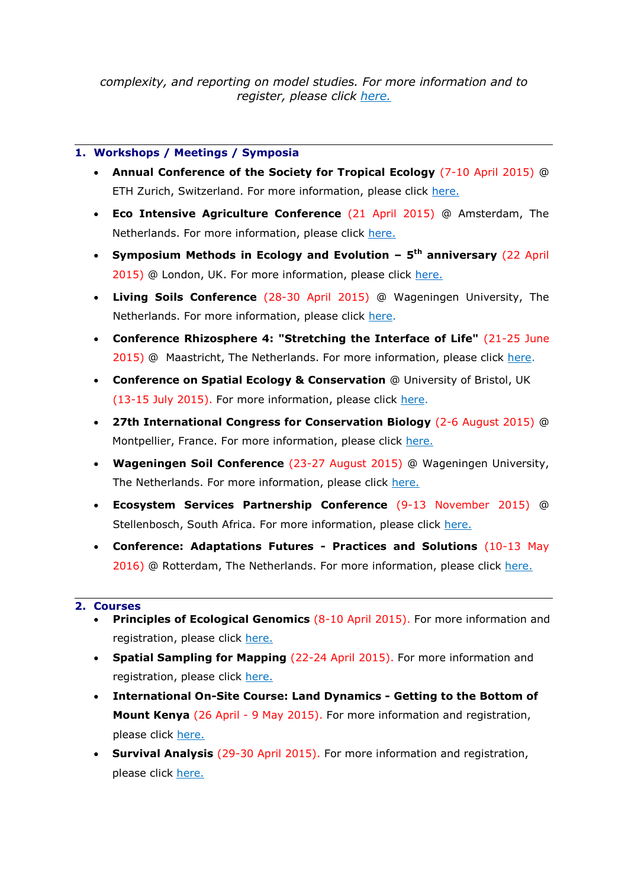*complexity, and reporting on model studies. For more information and to register, please click [here.](http://www.pe-rc.nl/database/Courses%20and%20Activities/PE-RC%20postgraduate%20courses/The%20art%20of%20modelling.htm)*

#### **1. Workshops / Meetings / Symposia**

- **Annual Conference of the Society for Tropical Ecology** (7-10 April 2015) @ ETH Zurich, Switzerland. For more information, please click [here.](http://www.gtoe-conference.de/)
- **Eco Intensive Agriculture Conference** (21 April 2015) @ Amsterdam, The Netherlands. For more information, please click [here.](https://nioo.knaw.nl/en/towards-ecology-intensive-agriculture-learning-nature#quicktabs-qt_eco_agro=0)
- **Symposium Methods in Ecology and Evolution – 5 th anniversary** (22 April 2015) @ London, UK. For more information, please click [here.](http://www.methodsinecologyandevolution.org/view/0/events.html)
- **Living Soils Conference** (28-30 April 2015) @ Wageningen University, The Netherlands. For more information, please click [here.](http://www.wageningenur.nl/livingsoils)
- **Conference Rhizosphere 4: "Stretching the Interface of Life"** (21-25 June 2015) @ Maastricht, The Netherlands. For more information, please click [here.](http://www.rhizo4.org/)
- **Conference on Spatial Ecology & Conservation** @ University of Bristol, UK (13-15 July 2015). For more information, please click [here.](http://www.ert-conservation.co.uk/sec3_introduction.php)
- **27th International Congress for Conservation Biology** (2-6 August 2015) @ Montpellier, France. For more information, please click [here.](http://www.iccb-eccb2015.org/)
- **Wageningen Soil Conference** (23-27 August 2015) @ Wageningen University, The Netherlands. For more information, please click [here.](http://www.wageningenur.nl/en/Research-Results/Projects-and-programmes/Wageningen-Soil-Conference.htm)
- **Ecosystem Services Partnership Conference** (9-13 November 2015) @ Stellenbosch, South Africa. For more information, please click [here.](http://www.espconference.org/espconference2015#.VONOuC5SU5g)
- **Conference: Adaptations Futures - Practices and Solutions** (10-13 May 2016) @ Rotterdam, The Netherlands. For more information, please click [here.](http://www.adaptationfutures2016.org/)

#### **2. Courses**

- **Principles of Ecological Genomics (8-10 April 2015). For more information and** registration, please click [here.](http://www.sense.nl/upcomingcourses/10845112/Principles-of-Ecological-Genomics)
- **Spatial Sampling for Mapping** (22-24 April 2015). For more information and registration, please click [here.](http://www.pe-rc.nl/database/Courses%20and%20Activities/PE-RC%20postgraduate%20courses/spatial%20sampling%20for%20mapping.htm)
- **International On-Site Course: Land Dynamics - Getting to the Bottom of Mount Kenya** (26 April - 9 May 2015). For more information and registration, please click [here.](http://www.pe-rc.nl/database/Courses%20and%20Activities/PE-RC%20postgraduate%20courses/Land%20dynamics%202015.htm)
- **Survival Analysis** (29-30 April 2015). For more information and registration, please click [here.](http://www.pe-rc.nl/database/Courses%20and%20Activities/PE-RC%20postgraduate%20courses/Survival%20Analysis.htm)